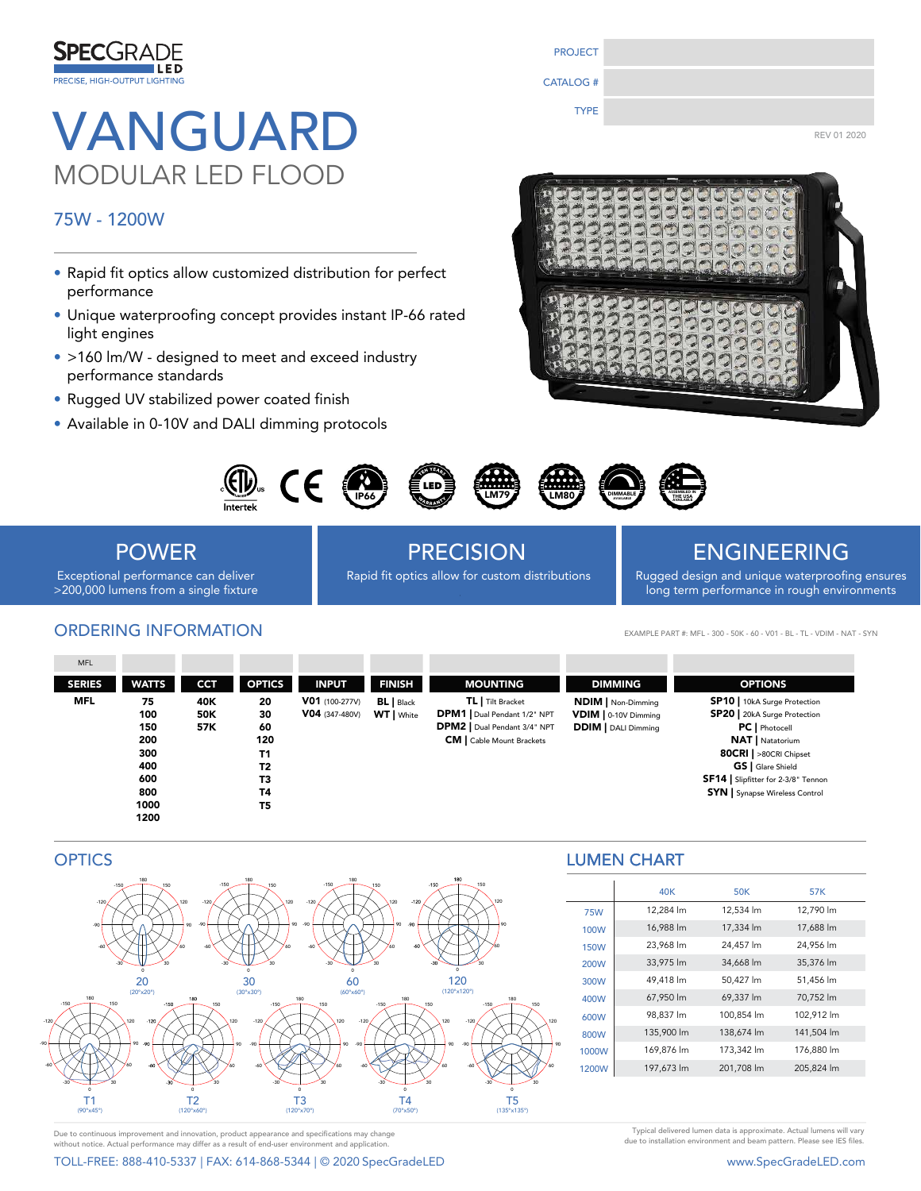

# VANGUARD TYPE REVOLADED MODULAR LED FLOOD

### 75W - 1200W

- Rapid fit optics allow customized distribution for perfect performance
- Unique waterproofing concept provides instant IP-66 rated light engines
- >160 lm/W designed to meet and exceed industry performance standards
- Rugged UV stabilized power coated finish
- Available in 0-10V and DALI dimming protocols







POWER Exceptional performance can deliver

>200,000 lumens from a single fixture

ORDERING INFORMATION

PRECISION **ENGINEERING** 

Rapid fit optics allow for custom distributions Rugged design and unique waterproofing ensures

long term performance in rough environments

EXAMPLE PART #: MFL - 300 - 50K - 60 - V01 - BL - TL - VDIM - NAT - SYN

| <b>SP10</b>   10kA Surge Protection<br><b>SP20</b>   20kA Surge Protection<br><b>PC</b>   Photocell<br><b>NAT</b>   Natatorium<br>80CRI   >80CRI Chipset<br>GS   Glare Shield<br>SF14   Slipfitter for 2-3/8" Tennon<br><b>SYN</b> Synapse Wireless Control |
|-------------------------------------------------------------------------------------------------------------------------------------------------------------------------------------------------------------------------------------------------------------|
|                                                                                                                                                                                                                                                             |

## **OPTICS**



### LUMEN CHART LUMEN CHART

|             | 40K        | <b>50K</b> | 57K        |
|-------------|------------|------------|------------|
| <b>75W</b>  | 12,284 lm  | 12,534 lm  | 12,790 lm  |
| 100W        | 16,988 lm  | 17,334 lm  | 17,688 lm  |
| <b>150W</b> | 23,968 lm  | 24,457 lm  | 24,956 lm  |
| 200W        | 33,975 lm  | 34,668 lm  | 35,376 lm  |
| 300W        | 49,418 lm  | 50,427 lm  | 51,456 lm  |
| 400W        | 67,950 lm  | 69,337 lm  | 70,752 lm  |
| 600W        | 98,837 lm  | 100,854 lm | 102,912 lm |
| 800W        | 135,900 lm | 138,674 lm | 141,504 lm |
| 1000W       | 169,876 lm | 173,342 lm | 176,880 lm |
| 1200W       | 197,673 lm | 201,708 lm | 205,824 lm |

Due to continuous improvement and innovation, product appearance and specifications may change without notice. Actual performance may differ as a result of end-user environment and applicati

TOLL-FREE: 888-410-5337 | FAX: 614-868-5344 | © 2020 SpecGradeLED www.SpecGradeLED.com

Typical delivered lumen data is approximate. Actual lumens will vary due to installation environment and beam pattern. Please see IES files.